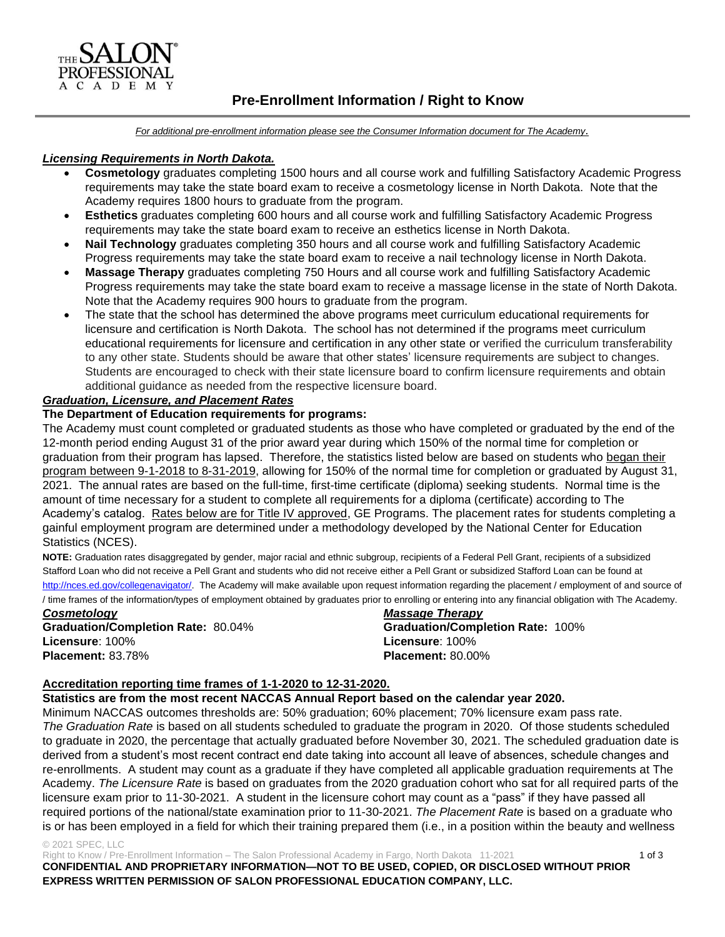

# **Pre-Enrollment Information / Right to Know**

*For additional pre-enrollment information please see the Consumer Information document for The Academy.*

#### *Licensing Requirements in North Dakota.*

- **Cosmetology** graduates completing 1500 hours and all course work and fulfilling Satisfactory Academic Progress requirements may take the state board exam to receive a cosmetology license in North Dakota. Note that the Academy requires 1800 hours to graduate from the program.
- **Esthetics** graduates completing 600 hours and all course work and fulfilling Satisfactory Academic Progress requirements may take the state board exam to receive an esthetics license in North Dakota.
- **Nail Technology** graduates completing 350 hours and all course work and fulfilling Satisfactory Academic Progress requirements may take the state board exam to receive a nail technology license in North Dakota.
- **Massage Therapy** graduates completing 750 Hours and all course work and fulfilling Satisfactory Academic Progress requirements may take the state board exam to receive a massage license in the state of North Dakota. Note that the Academy requires 900 hours to graduate from the program.
- The state that the school has determined the above programs meet curriculum educational requirements for licensure and certification is North Dakota. The school has not determined if the programs meet curriculum educational requirements for licensure and certification in any other state or verified the curriculum transferability to any other state. Students should be aware that other states' licensure requirements are subject to changes. Students are encouraged to check with their state licensure board to confirm licensure requirements and obtain additional guidance as needed from the respective licensure board.

#### *Graduation, Licensure, and Placement Rates*

#### **The Department of Education requirements for programs:**

The Academy must count completed or graduated students as those who have completed or graduated by the end of the 12-month period ending August 31 of the prior award year during which 150% of the normal time for completion or graduation from their program has lapsed. Therefore, the statistics listed below are based on students who began their program between 9-1-2018 to 8-31-2019, allowing for 150% of the normal time for completion or graduated by August 31, 2021. The annual rates are based on the full-time, first-time certificate (diploma) seeking students. Normal time is the amount of time necessary for a student to complete all requirements for a diploma (certificate) according to The Academy's catalog. Rates below are for Title IV approved, GE Programs. The placement rates for students completing a gainful employment program are determined under a methodology developed by the National Center for Education Statistics (NCES).

**NOTE:** Graduation rates disaggregated by gender, major racial and ethnic subgroup, recipients of a Federal Pell Grant, recipients of a subsidized Stafford Loan who did not receive a Pell Grant and students who did not receive either a Pell Grant or subsidized Stafford Loan can be found at [http://nces.ed.gov/collegenavigator/.](http://nces.ed.gov/collegenavigator/) The Academy will make available upon request information regarding the placement / employment of and source of / time frames of the information/types of employment obtained by graduates prior to enrolling or entering into any financial obligation with The Academy.

*Cosmetology Massage Therapy* **Graduation/Completion Rate:** 80.04% **Graduation/Completion Rate:** 100% **Licensure**: 100% **Licensure**: 100% **Placement:** 83.78% **Placement:** 80.00%

#### **Accreditation reporting time frames of 1-1-2020 to 12-31-2020.**

**Statistics are from the most recent NACCAS Annual Report based on the calendar year 2020.**

Minimum NACCAS outcomes thresholds are: 50% graduation; 60% placement; 70% licensure exam pass rate. *The Graduation Rate* is based on all students scheduled to graduate the program in 2020. Of those students scheduled to graduate in 2020, the percentage that actually graduated before November 30, 2021. The scheduled graduation date is derived from a student's most recent contract end date taking into account all leave of absences, schedule changes and re-enrollments. A student may count as a graduate if they have completed all applicable graduation requirements at The Academy. *The Licensure Rate* is based on graduates from the 2020 graduation cohort who sat for all required parts of the licensure exam prior to 11-30-2021. A student in the licensure cohort may count as a "pass" if they have passed all required portions of the national/state examination prior to 11-30-2021. *The Placement Rate* is based on a graduate who is or has been employed in a field for which their training prepared them (i.e., in a position within the beauty and wellness

#### © 2021 SPEC, LLC

Right to Know / Pre-Enrollment Information – The Salon Professional Academy in Fargo, North Dakota 11-2021 1 of 3 **CONFIDENTIAL AND PROPRIETARY INFORMATION—NOT TO BE USED, COPIED, OR DISCLOSED WITHOUT PRIOR EXPRESS WRITTEN PERMISSION OF SALON PROFESSIONAL EDUCATION COMPANY, LLC.**